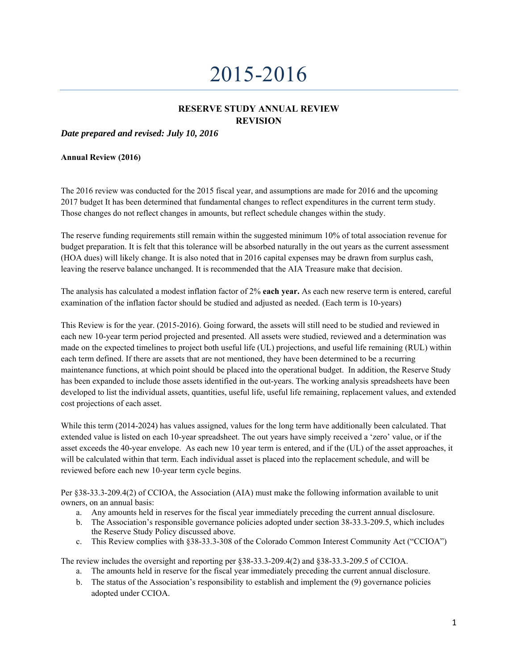# 2015-2016

# **RESERVE STUDY ANNUAL REVIEW REVISION**

*Date prepared and revised: July 10, 2016* 

**Annual Review (2016)** 

The 2016 review was conducted for the 2015 fiscal year, and assumptions are made for 2016 and the upcoming 2017 budget It has been determined that fundamental changes to reflect expenditures in the current term study. Those changes do not reflect changes in amounts, but reflect schedule changes within the study.

The reserve funding requirements still remain within the suggested minimum 10% of total association revenue for budget preparation. It is felt that this tolerance will be absorbed naturally in the out years as the current assessment (HOA dues) will likely change. It is also noted that in 2016 capital expenses may be drawn from surplus cash, leaving the reserve balance unchanged. It is recommended that the AIA Treasure make that decision.

The analysis has calculated a modest inflation factor of 2% **each year.** As each new reserve term is entered, careful examination of the inflation factor should be studied and adjusted as needed. (Each term is 10-years)

This Review is for the year. (2015-2016). Going forward, the assets will still need to be studied and reviewed in each new 10-year term period projected and presented. All assets were studied, reviewed and a determination was made on the expected timelines to project both useful life (UL) projections, and useful life remaining (RUL) within each term defined. If there are assets that are not mentioned, they have been determined to be a recurring maintenance functions, at which point should be placed into the operational budget. In addition, the Reserve Study has been expanded to include those assets identified in the out-years. The working analysis spreadsheets have been developed to list the individual assets, quantities, useful life, useful life remaining, replacement values, and extended cost projections of each asset.

While this term (2014-2024) has values assigned, values for the long term have additionally been calculated. That extended value is listed on each 10-year spreadsheet. The out years have simply received a 'zero' value, or if the asset exceeds the 40-year envelope. As each new 10 year term is entered, and if the (UL) of the asset approaches, it will be calculated within that term. Each individual asset is placed into the replacement schedule, and will be reviewed before each new 10-year term cycle begins.

Per §38-33.3-209.4(2) of CCIOA, the Association (AIA) must make the following information available to unit owners, on an annual basis:

- a. Any amounts held in reserves for the fiscal year immediately preceding the current annual disclosure.
- b. The Association's responsible governance policies adopted under section 38-33.3-209.5, which includes the Reserve Study Policy discussed above.
- c. This Review complies with §38-33.3-308 of the Colorado Common Interest Community Act ("CCIOA")

The review includes the oversight and reporting per §38-33.3-209.4(2) and §38-33.3-209.5 of CCIOA.

- a. The amounts held in reserve for the fiscal year immediately preceding the current annual disclosure.
- b. The status of the Association's responsibility to establish and implement the (9) governance policies adopted under CCIOA.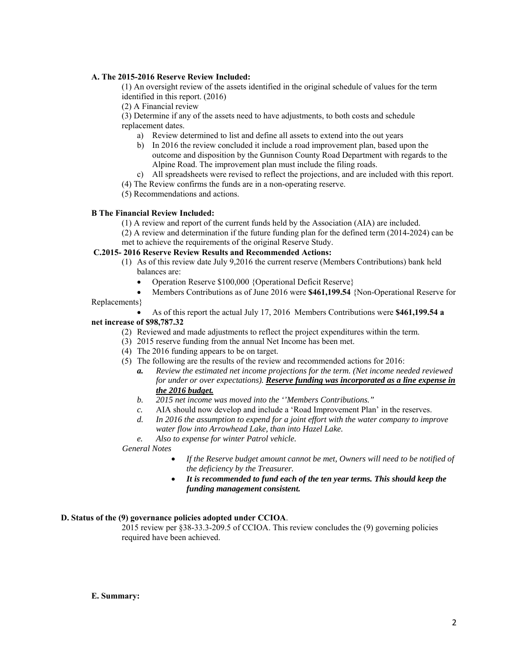### **A. The 2015-2016 Reserve Review Included:**

(1) An oversight review of the assets identified in the original schedule of values for the term identified in this report. (2016)

(2) A Financial review

(3) Determine if any of the assets need to have adjustments, to both costs and schedule replacement dates.

- a) Review determined to list and define all assets to extend into the out years
- b) In 2016 the review concluded it include a road improvement plan, based upon the outcome and disposition by the Gunnison County Road Department with regards to the Alpine Road. The improvement plan must include the filing roads.
- c) All spreadsheets were revised to reflect the projections, and are included with this report.
- (4) The Review confirms the funds are in a non-operating reserve.
- (5) Recommendations and actions.

### **B The Financial Review Included:**

- (1) A review and report of the current funds held by the Association (AIA) are included.
- (2) A review and determination if the future funding plan for the defined term (2014-2024) can be met to achieve the requirements of the original Reserve Study.

#### **C.2015- 2016 Reserve Review Results and Recommended Actions:**

- (1) As of this review date July 9,2016 the current reserve (Members Contributions) bank held balances are:
	- Operation Reserve \$100,000 {Operational Deficit Reserve}
	- Members Contributions as of June 2016 were **\$461,199.54** {Non-Operational Reserve for

#### Replacements}

 As of this report the actual July 17, 2016 Members Contributions were **\$461,199.54 a net increase of \$98,787.32**

- (2) Reviewed and made adjustments to reflect the project expenditures within the term.
- (3) 2015 reserve funding from the annual Net Income has been met.
- (4) The 2016 funding appears to be on target.
- (5) The following are the results of the review and recommended actions for 2016:
	- *a. Review the estimated net income projections for the term. (Net income needed reviewed for under or over expectations). Reserve funding was incorporated as a line expense in the 2016 budget.*
	- *b. 2015 net income was moved into the ''Members Contributions."*
	- *c.* AIA should now develop and include a 'Road Improvement Plan' in the reserves.
	- *d. In 2016 the assumption to expend for a joint effort with the water company to improve water flow into Arrowhead Lake, than into Hazel Lake.*
	- *e. Also to expense for winter Patrol vehicle.*

#### *General Notes*

- *If the Reserve budget amount cannot be met, Owners will need to be notified of the deficiency by the Treasurer.*
- *It is recommended to fund each of the ten year terms. This should keep the funding management consistent.*

## **D. Status of the (9) governance policies adopted under CCIOA**.

2015 review per §38-33.3-209.5 of CCIOA. This review concludes the (9) governing policies required have been achieved.